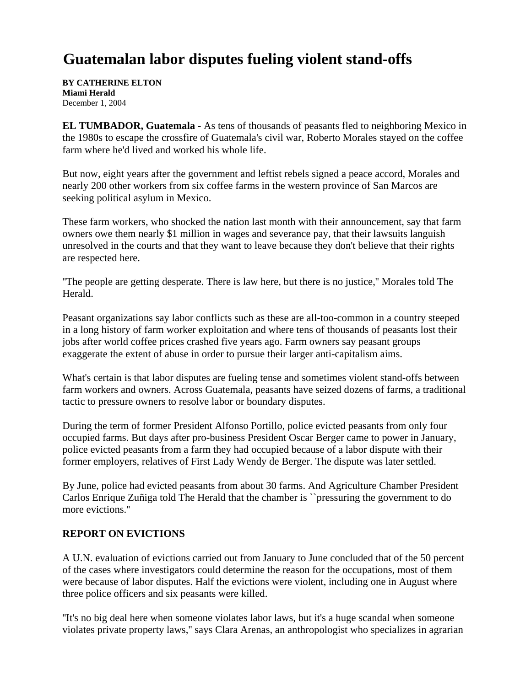## **Guatemalan labor disputes fueling violent stand-offs**

**BY CATHERINE ELTON Miami Herald** December 1, 2004

**EL TUMBADOR, Guatemala -** As tens of thousands of peasants fled to neighboring Mexico in the 1980s to escape the crossfire of Guatemala's civil war, Roberto Morales stayed on the coffee farm where he'd lived and worked his whole life.

But now, eight years after the government and leftist rebels signed a peace accord, Morales and nearly 200 other workers from six coffee farms in the western province of San Marcos are seeking political asylum in Mexico.

These farm workers, who shocked the nation last month with their announcement, say that farm owners owe them nearly \$1 million in wages and severance pay, that their lawsuits languish unresolved in the courts and that they want to leave because they don't believe that their rights are respected here.

''The people are getting desperate. There is law here, but there is no justice,'' Morales told The Herald.

Peasant organizations say labor conflicts such as these are all-too-common in a country steeped in a long history of farm worker exploitation and where tens of thousands of peasants lost their jobs after world coffee prices crashed five years ago. Farm owners say peasant groups exaggerate the extent of abuse in order to pursue their larger anti-capitalism aims.

What's certain is that labor disputes are fueling tense and sometimes violent stand-offs between farm workers and owners. Across Guatemala, peasants have seized dozens of farms, a traditional tactic to pressure owners to resolve labor or boundary disputes.

During the term of former President Alfonso Portillo, police evicted peasants from only four occupied farms. But days after pro-business President Oscar Berger came to power in January, police evicted peasants from a farm they had occupied because of a labor dispute with their former employers, relatives of First Lady Wendy de Berger. The dispute was later settled.

By June, police had evicted peasants from about 30 farms. And Agriculture Chamber President Carlos Enrique Zuñiga told The Herald that the chamber is ``pressuring the government to do more evictions.''

## **REPORT ON EVICTIONS**

A U.N. evaluation of evictions carried out from January to June concluded that of the 50 percent of the cases where investigators could determine the reason for the occupations, most of them were because of labor disputes. Half the evictions were violent, including one in August where three police officers and six peasants were killed.

''It's no big deal here when someone violates labor laws, but it's a huge scandal when someone violates private property laws,'' says Clara Arenas, an anthropologist who specializes in agrarian